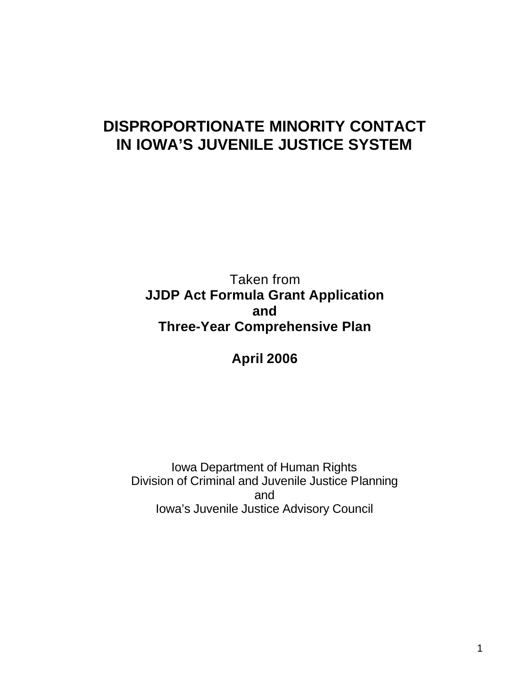# **DISPROPORTIONATE MINORITY CONTACT IN IOWA'S JUVENILE JUSTICE SYSTEM**

Taken from **JJDP Act Formula Grant Application and Three-Year Comprehensive Plan**

**April 2006**

Iowa Department of Human Rights Division of Criminal and Juvenile Justice Planning and Iowa's Juvenile Justice Advisory Council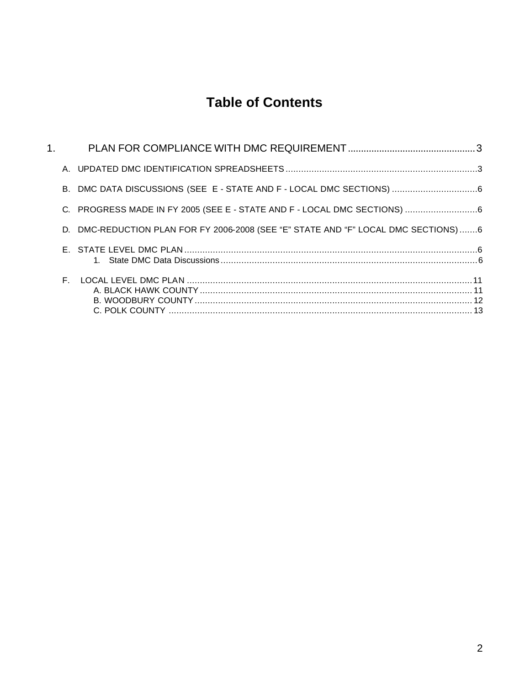# **Table of Contents**

| 1. |    |                                                                                     |  |
|----|----|-------------------------------------------------------------------------------------|--|
|    |    |                                                                                     |  |
|    |    | B. DMC DATA DISCUSSIONS (SEE E - STATE AND F - LOCAL DMC SECTIONS) 6                |  |
|    |    |                                                                                     |  |
|    |    | D. DMC-REDUCTION PLAN FOR FY 2006-2008 (SEE "E" STATE AND "F" LOCAL DMC SECTIONS) 6 |  |
|    |    |                                                                                     |  |
|    | F. |                                                                                     |  |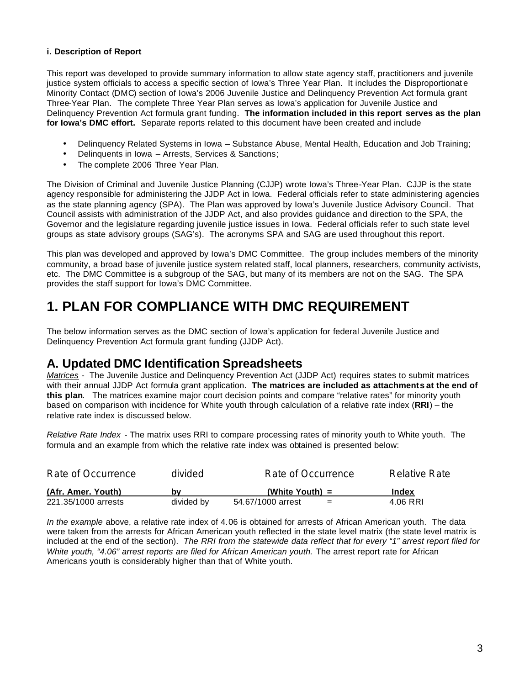#### **i. Description of Report**

This report was developed to provide summary information to allow state agency staff, practitioners and juvenile justice system officials to access a specific section of Iowa's Three Year Plan. It includes the Disproportionat e Minority Contact (DMC) section of Iowa's 2006 Juvenile Justice and Delinquency Prevention Act formula grant Three-Year Plan. The complete Three Year Plan serves as Iowa's application for Juvenile Justice and Delinquency Prevention Act formula grant funding. **The information included in this report serves as the plan for Iowa's DMC effort.** Separate reports related to this document have been created and include

- Delinquency Related Systems in Iowa Substance Abuse, Mental Health, Education and Job Training;
- Delinquents in Iowa Arrests, Services & Sanctions;
- The complete 2006 Three Year Plan.

The Division of Criminal and Juvenile Justice Planning (CJJP) wrote Iowa's Three-Year Plan. CJJP is the state agency responsible for administering the JJDP Act in Iowa. Federal officials refer to state administering agencies as the state planning agency (SPA). The Plan was approved by Iowa's Juvenile Justice Advisory Council. That Council assists with administration of the JJDP Act, and also provides guidance and direction to the SPA, the Governor and the legislature regarding juvenile justice issues in Iowa. Federal officials refer to such state level groups as state advisory groups (SAG's). The acronyms SPA and SAG are used throughout this report.

This plan was developed and approved by Iowa's DMC Committee. The group includes members of the minority community, a broad base of juvenile justice system related staff, local planners, researchers, community activists, etc. The DMC Committee is a subgroup of the SAG, but many of its members are not on the SAG. The SPA provides the staff support for Iowa's DMC Committee.

# **1. PLAN FOR COMPLIANCE WITH DMC REQUIREMENT**

The below information serves as the DMC section of Iowa's application for federal Juvenile Justice and Delinquency Prevention Act formula grant funding (JJDP Act).

## **A. Updated DMC Identification Spreadsheets**

*Matrices* - The Juvenile Justice and Delinquency Prevention Act (JJDP Act) requires states to submit matrices with their annual JJDP Act formula grant application. **The matrices are included as attachments at the end of this plan**. The matrices examine major court decision points and compare "relative rates" for minority youth based on comparison with incidence for White youth through calculation of a relative rate index (**RRI**) – the relative rate index is discussed below.

*Relative Rate Index* - The matrix uses RRI to compare processing rates of minority youth to White youth. The formula and an example from which the relative rate index was obtained is presented below:

| Rate of Occurrence  | divided    | Rate of Occurrence       | <b>Relative Rate</b> |
|---------------------|------------|--------------------------|----------------------|
| (Afr. Amer. Youth)  | b٧         | (White Youth) $=$        | Index                |
| 221.35/1000 arrests | divided by | 54.67/1000 arrest<br>$=$ | 4.06 RRI             |

*In the example* above, a relative rate index of 4.06 is obtained for arrests of African American youth. The data were taken from the arrests for African American youth reflected in the state level matrix (the state level matrix is included at the end of the section). *The RRI from the statewide data reflect that for every "1" arrest report filed for White youth, "4.06" arrest reports are filed for African American youth.* The arrest report rate for African Americans youth is considerably higher than that of White youth.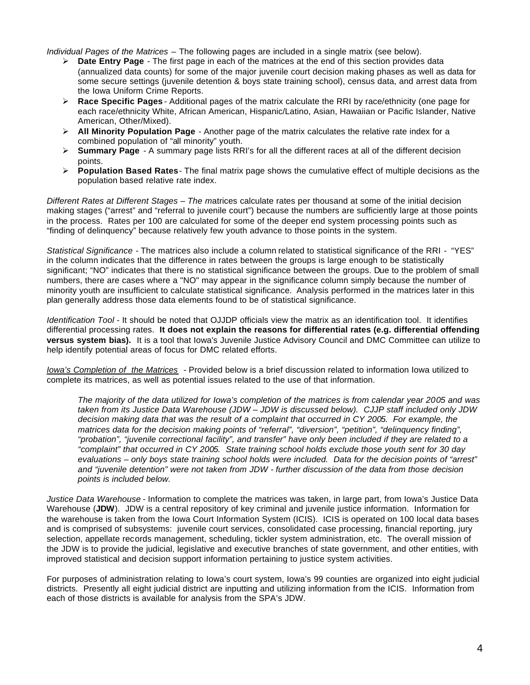*Individual Pages of the Matrices* – The following pages are included in a single matrix (see below).

- **►** Date Entry Page The first page in each of the matrices at the end of this section provides data (annualized data counts) for some of the major juvenile court decision making phases as well as data for some secure settings (juvenile detention & boys state training school), census data, and arrest data from the Iowa Uniform Crime Reports.
- ÿ **Race Specific Pages** Additional pages of the matrix calculate the RRI by race/ethnicity (one page for each race/ethnicity White, African American, Hispanic/Latino, Asian, Hawaiian or Pacific Islander, Native American, Other/Mixed).
- $\triangleright$  **All Minority Population Page** Another page of the matrix calculates the relative rate index for a combined population of "all minority" youth.
- ÿ **Summary Page** A summary page lists RRI's for all the different races at all of the different decision points.
- ÿ **Population Based Rates** The final matrix page shows the cumulative effect of multiple decisions as the population based relative rate index.

*Different Rates at Different Stages – The m*atrices calculate rates per thousand at some of the initial decision making stages ("arrest" and "referral to juvenile court") because the numbers are sufficiently large at those points in the process. Rates per 100 are calculated for some of the deeper end system processing points such as "finding of delinquency" because relatively few youth advance to those points in the system.

*Statistical Significance -* The matrices also include a column related to statistical significance of the RRI - "YES" in the column indicates that the difference in rates between the groups is large enough to be statistically significant; "NO" indicates that there is no statistical significance between the groups. Due to the problem of small numbers, there are cases where a "NO" may appear in the significance column simply because the number of minority youth are insufficient to calculate statistical significance. Analysis performed in the matrices later in this plan generally address those data elements found to be of statistical significance.

*Identification Tool* - It should be noted that OJJDP officials view the matrix as an identification tool. It identifies differential processing rates. **It does not explain the reasons for differential rates (e.g. differential offending versus system bias).** It is a tool that Iowa's Juvenile Justice Advisory Council and DMC Committee can utilize to help identify potential areas of focus for DMC related efforts.

*Iowa's Completion of the Matrices* - Provided below is a brief discussion related to information Iowa utilized to complete its matrices, as well as potential issues related to the use of that information.

*The majority of the data utilized for Iowa's completion of the matrices is from calendar year 2005 and was taken from its Justice Data Warehouse (JDW – JDW is discussed below). CJJP staff included only JDW decision making data that was the result of a complaint that occurred in CY 2005. For example, the matrices data for the decision making points of "referral", "diversion", "petition", "delinquency finding", "probation", "juvenile correctional facility", and transfer" have only been included if they are related to a "complaint" that occurred in CY 2005. State training school holds exclude those youth sent for 30 day evaluations – only boys state training school holds were included. Data for the decision points of "arrest" and "juvenile detention" were not taken from JDW - further discussion of the data from those decision points is included below.*

*Justice Data Warehouse* - Information to complete the matrices was taken, in large part, from Iowa's Justice Data Warehouse (**JDW**). JDW is a central repository of key criminal and juvenile justice information. Information for the warehouse is taken from the Iowa Court Information System (ICIS). ICIS is operated on 100 local data bases and is comprised of subsystems: juvenile court services, consolidated case processing, financial reporting, jury selection, appellate records management, scheduling, tickler system administration, etc. The overall mission of the JDW is to provide the judicial, legislative and executive branches of state government, and other entities, with improved statistical and decision support information pertaining to justice system activities.

For purposes of administration relating to Iowa's court system, Iowa's 99 counties are organized into eight judicial districts. Presently all eight judicial district are inputting and utilizing information from the ICIS. Information from each of those districts is available for analysis from the SPA's JDW.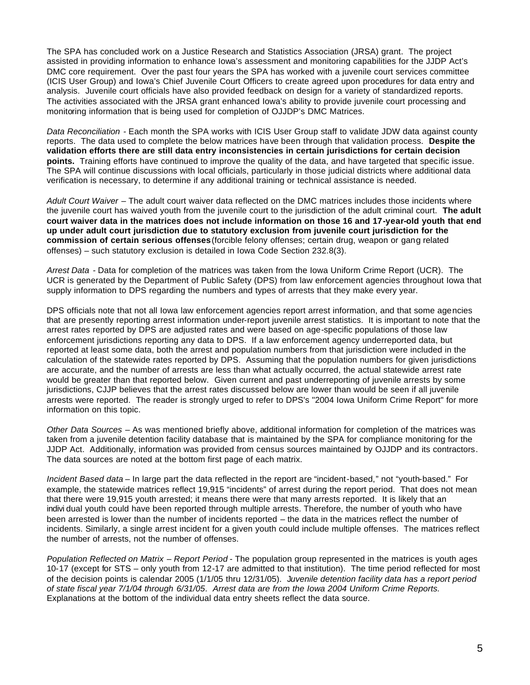The SPA has concluded work on a Justice Research and Statistics Association (JRSA) grant. The project assisted in providing information to enhance Iowa's assessment and monitoring capabilities for the JJDP Act's DMC core requirement. Over the past four years the SPA has worked with a juvenile court services committee (ICIS User Group) and Iowa's Chief Juvenile Court Officers to create agreed upon procedures for data entry and analysis. Juvenile court officials have also provided feedback on design for a variety of standardized reports. The activities associated with the JRSA grant enhanced Iowa's ability to provide juvenile court processing and monitoring information that is being used for completion of OJJDP's DMC Matrices.

*Data Reconciliation -* Each month the SPA works with ICIS User Group staff to validate JDW data against county reports. The data used to complete the below matrices have been through that validation process. **Despite the validation efforts there are still data entry inconsistencies in certain jurisdictions for certain decision points.** Training efforts have continued to improve the quality of the data, and have targeted that specific issue. The SPA will continue discussions with local officials, particularly in those judicial districts where additional data verification is necessary, to determine if any additional training or technical assistance is needed.

*Adult Court Waiver* – The adult court waiver data reflected on the DMC matrices includes those incidents where the juvenile court has waived youth from the juvenile court to the jurisdiction of the adult criminal court. **The adult court waiver data in the matrices does not include information on those 16 and 17-year-old youth that end up under adult court jurisdiction due to statutory exclusion from juvenile court jurisdiction for the commission of certain serious offenses** (forcible felony offenses; certain drug, weapon or gang related offenses) – such statutory exclusion is detailed in Iowa Code Section 232.8(3).

*Arrest Data -* Data for completion of the matrices was taken from the Iowa Uniform Crime Report (UCR). The UCR is generated by the Department of Public Safety (DPS) from law enforcement agencies throughout Iowa that supply information to DPS regarding the numbers and types of arrests that they make every year.

DPS officials note that not all Iowa law enforcement agencies report arrest information, and that some agencies that are presently reporting arrest information under-report juvenile arrest statistics. It is important to note that the arrest rates reported by DPS are adjusted rates and were based on age-specific populations of those law enforcement jurisdictions reporting any data to DPS. If a law enforcement agency underreported data, but reported at least some data, both the arrest and population numbers from that jurisdiction were included in the calculation of the statewide rates reported by DPS. Assuming that the population numbers for given jurisdictions are accurate, and the number of arrests are less than what actually occurred, the actual statewide arrest rate would be greater than that reported below. Given current and past underreporting of juvenile arrests by some jurisdictions, CJJP believes that the arrest rates discussed below are lower than would be seen if all juvenile arrests were reported. The reader is strongly urged to refer to DPS's "2004 Iowa Uniform Crime Report" for more information on this topic.

*Other Data Sources* – As was mentioned briefly above, additional information for completion of the matrices was taken from a juvenile detention facility database that is maintained by the SPA for compliance monitoring for the JJDP Act. Additionally, information was provided from census sources maintained by OJJDP and its contractors. The data sources are noted at the bottom first page of each matrix.

*Incident Based data* – In large part the data reflected in the report are "incident-based," not "youth-based." For example, the statewide matrices reflect 19,915 "incidents" of arrest during the report period. That does not mean that there were 19,915 youth arrested; it means there were that many arrests reported. It is likely that an indivi dual youth could have been reported through multiple arrests. Therefore, the number of youth who have been arrested is lower than the number of incidents reported – the data in the matrices reflect the number of incidents. Similarly, a single arrest incident for a given youth could include multiple offenses. The matrices reflect the number of arrests, not the number of offenses.

*Population Reflected on Matrix – Report Period* - The population group represented in the matrices is youth ages 10-17 (except for STS – only youth from 12-17 are admitted to that institution). The time period reflected for most of the decision points is calendar 2005 (1/1/05 thru 12/31/05). J*uvenile detention facility data has a report period of state fiscal year 7/1/04 through 6/31/05*. *Arrest data are from the Iowa 2004 Uniform Crime Reports.*  Explanations at the bottom of the individual data entry sheets reflect the data source.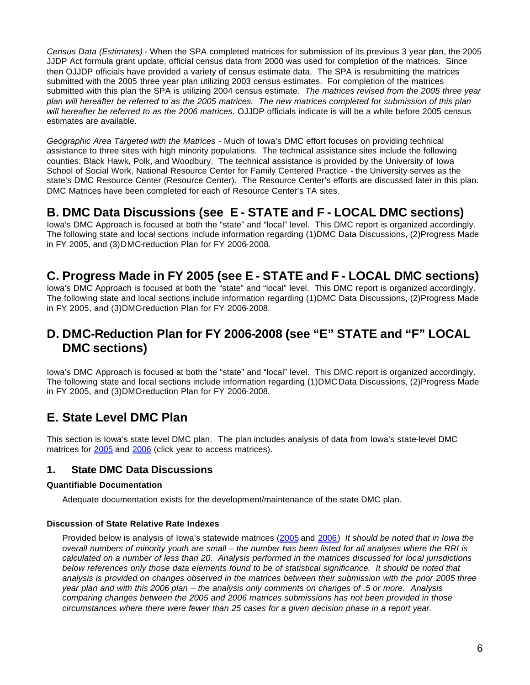*Census Data (Estimates)* - When the SPA completed matrices for submission of its previous 3 year plan, the 2005 JJDP Act formula grant update, official census data from 2000 was used for completion of the matrices. Since then OJJDP officials have provided a variety of census estimate data. The SPA is resubmitting the matrices submitted with the 2005 three year plan utilizing 2003 census estimates. For completion of the matrices submitted with this plan the SPA is utilizing 2004 census estimate. *The matrices revised from the 2005 three year plan will hereafter be referred to as the 2005 matrices. The new matrices completed for submission of this plan will hereafter be referred to as the 2006 matrices.* OJJDP officials indicate is will be a while before 2005 census estimates are available.

*Geographic Area Targeted with the Matrices* - Much of Iowa's DMC effort focuses on providing technical assistance to three sites with high minority populations. The technical assistance sites include the following counties: Black Hawk, Polk, and Woodbury. The technical assistance is provided by the University of Iowa School of Social Work, National Resource Center for Family Centered Practice - the University serves as the state's DMC Resource Center (Resource Center). The Resource Center's efforts are discussed later in this plan. DMC Matrices have been completed for each of Resource Center's TA sites.

## **B. DMC Data Discussions (see E - STATE and F - LOCAL DMC sections)**

Iowa's DMC Approach is focused at both the "state" and "local" level. This DMC report is organized accordingly. The following state and local sections include information regarding (1)DMC Data Discussions, (2)Progress Made in FY 2005, and (3)DMC-reduction Plan for FY 2006-2008.

## **C. Progress Made in FY 2005 (see E - STATE and F - LOCAL DMC sections)**

Iowa's DMC Approach is focused at both the "state" and "local" level. This DMC report is organized accordingly. The following state and local sections include information regarding (1)DMC Data Discussions, (2)Progress Made in FY 2005, and (3)DMC-reduction Plan for FY 2006-2008.

## **D. DMC-Reduction Plan for FY 2006-2008 (see "E" STATE and "F" LOCAL DMC sections)**

Iowa's DMC Approach is focused at both the "state" and "local" level. This DMC report is organized accordingly. The following state and local sections include information regarding (1)DMC Data Discussions, (2)Progress Made in FY 2005, and (3)DMC-reduction Plan for FY 2006-2008.

## **E. State Level DMC Plan**

This section is Iowa's state level DMC plan. The plan includes analysis of data from Iowa's state-level DMC matrices for 2005 and 2006 (click year to access matrices).

### **1. State DMC Data Discussions**

#### **Quantifiable Documentation**

Adequate documentation exists for the development/maintenance of the state DMC plan.

#### **Discussion of State Relative Rate Indexes**

Provided below is analysis of Iowa's statewide matrices (2005 and 2006) *It should be noted that in Iowa the overall numbers of minority youth are small – the number has been listed for all analyses where the RRI is calculated on a number of less than 20. Analysis performed in the matrices discussed for local jurisdictions below references only those data elements found to be of statistical significance. It should be noted that analysis is provided on changes observed in the matrices between their submission with the prior 2005 three year plan and with this 2006 plan – the analysis only comments on changes of .5 or more. Analysis comparing changes between the 2005 and 2006 matrices submissions has not been provided in those circumstances where there were fewer than 25 cases for a given decision phase in a report year.*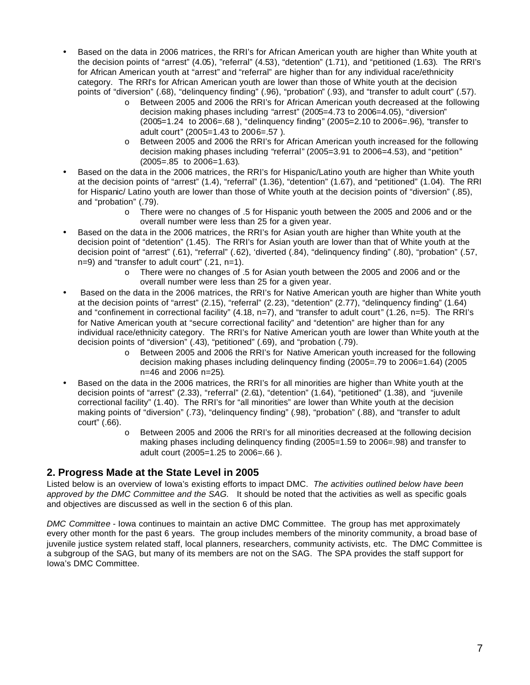- Based on the data in 2006 matrices, the RRI's for African American youth are higher than White youth at the decision points of "arrest" (4.05), "referral" (4.53), "detention" (1.71), and "petitioned (1.63). The RRI's for African American youth at "arrest" and "referral" are higher than for any individual race/ethnicity category. The RRI's for African American youth are lower than those of White youth at the decision points of "diversion" (.68), "delinquency finding" (.96), "probation" (.93), and "transfer to adult court" (.57).
	- o Between 2005 and 2006 the RRI's for African American youth decreased at the following decision making phases including "arrest" (2005=4.73 to 2006=4.05), "diversion" (2005=1.24 to 2006=.68 ), "delinquency finding" (2005=2.10 to 2006=.96), "transfer to adult court" (2005=1.43 to 2006=.57 ).
	- o Between 2005 and 2006 the RRI's for African American youth increased for the following decision making phases including "referral" (2005=3.91 to 2006=4.53), and "petition" (2005=.85 to 2006=1.63).
- Based on the data in the 2006 matrices, the RRI's for Hispanic/Latino youth are higher than White youth at the decision points of "arrest" (1.4), "referral" (1.36), "detention" (1.67), and "petitioned" (1.04). The RRI for Hispanic/ Latino youth are lower than those of White youth at the decision points of "diversion" (.85), and "probation" (.79).
	- o There were no changes of .5 for Hispanic youth between the 2005 and 2006 and or the overall number were less than 25 for a given year.
- Based on the data in the 2006 matrices, the RRI's for Asian youth are higher than White youth at the decision point of "detention" (1.45). The RRI's for Asian youth are lower than that of White youth at the decision point of "arrest" (.61), "referral" (.62), 'diverted (.84), "delinquency finding" (.80), "probation" (.57, n=9) and "transfer to adult court" (.21, n=1).
	- o There were no changes of .5 for Asian youth between the 2005 and 2006 and or the overall number were less than 25 for a given year.
- Based on the data in the 2006 matrices, the RRI's for Native American youth are higher than White youth at the decision points of "arrest" (2.15), "referral" (2.23), "detention" (2.77), "delinquency finding" (1.64) and "confinement in correctional facility" (4.18, n=7), and "transfer to adult court" (1.26, n=5). The RRI's for Native American youth at "secure correctional facility" and "detention" are higher than for any individual race/ethnicity category. The RRI's for Native American youth are lower than White youth at the decision points of "diversion" (.43), "petitioned" (.69), and "probation (.79).
	- o Between 2005 and 2006 the RRI's for Native American youth increased for the following decision making phases including delinquency finding (2005=.79 to 2006=1.64) (2005 n=46 and 2006 n=25).
- Based on the data in the 2006 matrices, the RRI's for all minorities are higher than White youth at the decision points of "arrest" (2.33), "referral" (2.61), "detention" (1.64), "petitioned" (1.38), and "juvenile correctional facility" (1.40). The RRI's for "all minorities" are lower than White youth at the decision making points of "diversion" (.73), "delinquency finding" (.98), "probation" (.88), and "transfer to adult court" (.66).
	- o Between 2005 and 2006 the RRI's for all minorities decreased at the following decision making phases including delinquency finding (2005=1.59 to 2006=.98) and transfer to adult court (2005=1.25 to 2006=.66 ).

### **2. Progress Made at the State Level in 2005**

Listed below is an overview of Iowa's existing efforts to impact DMC. *The activities outlined below have been approved by the DMC Committee and the SAG.* It should be noted that the activities as well as specific goals and objectives are discussed as well in the section 6 of this plan.

*DMC Committee* - Iowa continues to maintain an active DMC Committee. The group has met approximately every other month for the past 6 years. The group includes members of the minority community, a broad base of juvenile justice system related staff, local planners, researchers, community activists, etc. The DMC Committee is a subgroup of the SAG, but many of its members are not on the SAG. The SPA provides the staff support for Iowa's DMC Committee.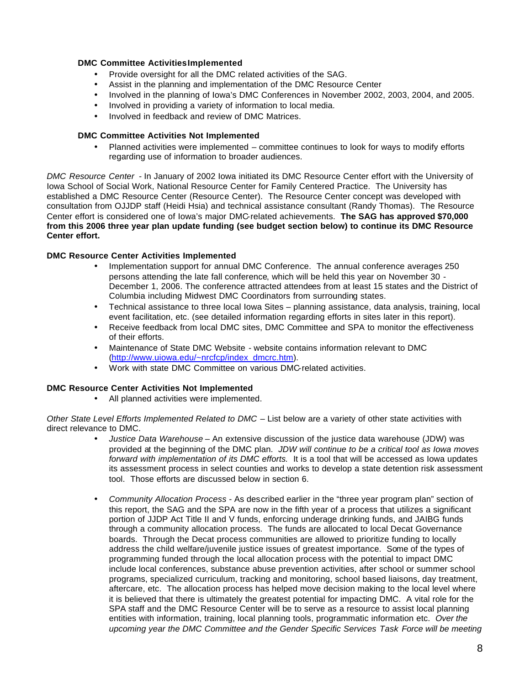#### **DMC Committee Activities Implemented**

- Provide oversight for all the DMC related activities of the SAG.
- Assist in the planning and implementation of the DMC Resource Center
- Involved in the planning of Iowa's DMC Conferences in November 2002, 2003, 2004, and 2005.
- Involved in providing a variety of information to local media.
- Involved in feedback and review of DMC Matrices.

#### **DMC Committee Activities Not Implemented**

• Planned activities were implemented – committee continues to look for ways to modify efforts regarding use of information to broader audiences.

*DMC Resource Center -* In January of 2002 Iowa initiated its DMC Resource Center effort with the University of Iowa School of Social Work, National Resource Center for Family Centered Practice. The University has established a DMC Resource Center (Resource Center). The Resource Center concept was developed with consultation from OJJDP staff (Heidi Hsia) and technical assistance consultant (Randy Thomas). The Resource Center effort is considered one of Iowa's major DMC-related achievements. **The SAG has approved \$70,000 from this 2006 three year plan update funding (see budget section below) to continue its DMC Resource Center effort.**

#### **DMC Resource Center Activities Implemented**

- Implementation support for annual DMC Conference. The annual conference averages 250 persons attending the late fall conference, which will be held this year on November 30 - December 1, 2006. The conference attracted attendees from at least 15 states and the District of Columbia including Midwest DMC Coordinators from surrounding states.
- Technical assistance to three local lowa Sites planning assistance, data analysis, training, local event facilitation, etc. (see detailed information regarding efforts in sites later in this report).
- Receive feedback from local DMC sites, DMC Committee and SPA to monitor the effectiveness of their efforts.
- Maintenance of State DMC Website website contains information relevant to DMC (http://www.uiowa.edu/~nrcfcp/index\_dmcrc.htm).
- Work with state DMC Committee on various DMC-related activities.

#### **DMC Resource Center Activities Not Implemented**

• All planned activities were implemented.

*Other State Level Efforts Implemented Related to DMC* – List below are a variety of other state activities with direct relevance to DMC.

- *Justice Data Warehouse* An extensive discussion of the justice data warehouse (JDW) was provided at the beginning of the DMC plan. *JDW will continue to be a critical tool as Iowa moves forward with implementation of its DMC efforts.* It is a tool that will be accessed as Iowa updates its assessment process in select counties and works to develop a state detention risk assessment tool. Those efforts are discussed below in section 6.
- *Community Allocation Process* As described earlier in the "three year program plan" section of this report, the SAG and the SPA are now in the fifth year of a process that utilizes a significant portion of JJDP Act Title II and V funds, enforcing underage drinking funds, and JAIBG funds through a community allocation process. The funds are allocated to local Decat Governance boards. Through the Decat process communities are allowed to prioritize funding to locally address the child welfare/juvenile justice issues of greatest importance. Some of the types of programming funded through the local allocation process with the potential to impact DMC include local conferences, substance abuse prevention activities, after school or summer school programs, specialized curriculum, tracking and monitoring, school based liaisons, day treatment, aftercare, etc. The allocation process has helped move decision making to the local level where it is believed that there is ultimately the greatest potential for impacting DMC. A vital role for the SPA staff and the DMC Resource Center will be to serve as a resource to assist local planning entities with information, training, local planning tools, programmatic information etc. *Over the upcoming year the DMC Committee and the Gender Specific Services Task Force will be meeting*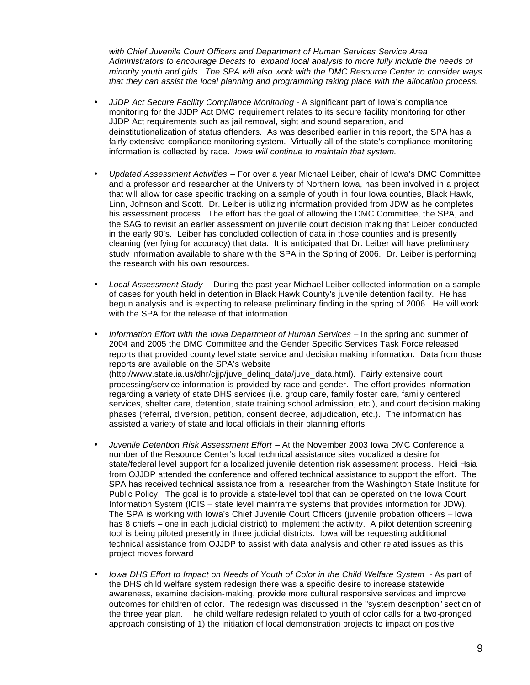*with Chief Juvenile Court Officers and Department of Human Services Service Area Administrators to encourage Decats to expand local analysis to more fully include the needs of minority youth and girls. The SPA will also work with the DMC Resource Center to consider ways that they can assist the local planning and programming taking place with the allocation process.*

- *JJDP Act Secure Facility Compliance Monitoring* A significant part of Iowa's compliance monitoring for the JJDP Act DMC requirement relates to its secure facility monitoring for other JJDP Act requirements such as jail removal, sight and sound separation, and deinstitutionalization of status offenders. As was described earlier in this report, the SPA has a fairly extensive compliance monitoring system. Virtually all of the state's compliance monitoring information is collected by race. *Iowa will continue to maintain that system.*
- *Updated Assessment Activities* For over a year Michael Leiber, chair of Iowa's DMC Committee and a professor and researcher at the University of Northern Iowa, has been involved in a project that will allow for case specific tracking on a sample of youth in four Iowa counties, Black Hawk, Linn, Johnson and Scott. Dr. Leiber is utilizing information provided from JDW as he completes his assessment process. The effort has the goal of allowing the DMC Committee, the SPA, and the SAG to revisit an earlier assessment on juvenile court decision making that Leiber conducted in the early 90's. Leiber has concluded collection of data in those counties and is presently cleaning (verifying for accuracy) that data. It is anticipated that Dr. Leiber will have preliminary study information available to share with the SPA in the Spring of 2006. Dr. Leiber is performing the research with his own resources.
- *Local Assessment Study –* During the past year Michael Leiber collected information on a sample of cases for youth held in detention in Black Hawk County's juvenile detention facility. He has begun analysis and is expecting to release preliminary finding in the spring of 2006. He will work with the SPA for the release of that information.
- *Information Effort with the Iowa Department of Human Services In the spring and summer of* 2004 and 2005 the DMC Committee and the Gender Specific Services Task Force released reports that provided county level state service and decision making information. Data from those reports are available on the SPA's website (http://www.state.ia.us/dhr/cjjp/juve\_delinq\_data/juve\_data.html). Fairly extensive court processing/service information is provided by race and gender. The effort provides information regarding a variety of state DHS services (i.e. group care, family foster care, family centered services, shelter care, detention, state training school admission, etc.), and court decision making phases (referral, diversion, petition, consent decree, adjudication, etc.). The information has assisted a variety of state and local officials in their planning efforts.
- *Juvenile Detention Risk Assessment Effort* At the November 2003 Iowa DMC Conference a number of the Resource Center's local technical assistance sites vocalized a desire for state/federal level support for a localized juvenile detention risk assessment process. Heidi Hsia from OJJDP attended the conference and offered technical assistance to support the effort. The SPA has received technical assistance from a researcher from the Washington State Institute for Public Policy. The goal is to provide a state-level tool that can be operated on the Iowa Court Information System (ICIS – state level mainframe systems that provides information for JDW). The SPA is working with Iowa's Chief Juvenile Court Officers (juvenile probation officers – Iowa has 8 chiefs – one in each judicial district) to implement the activity. A pilot detention screening tool is being piloted presently in three judicial districts. Iowa will be requesting additional technical assistance from OJJDP to assist with data analysis and other related issues as this project moves forward
- *Iowa DHS Effort to Impact on Needs of Youth of Color in the Child Welfare System* As part of the DHS child welfare system redesign there was a specific desire to increase statewide awareness, examine decision-making, provide more cultural responsive services and improve outcomes for children of color. The redesign was discussed in the "system description" section of the three year plan. The child welfare redesign related to youth of color calls for a two-pronged approach consisting of 1) the initiation of local demonstration projects to impact on positive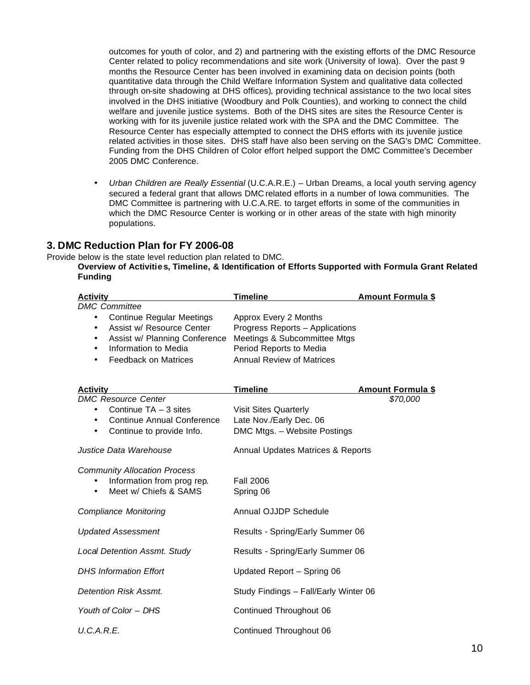outcomes for youth of color, and 2) and partnering with the existing efforts of the DMC Resource Center related to policy recommendations and site work (University of Iowa). Over the past 9 months the Resource Center has been involved in examining data on decision points (both quantitative data through the Child Welfare Information System and qualitative data collected through on-site shadowing at DHS offices), providing technical assistance to the two local sites involved in the DHS initiative (Woodbury and Polk Counties), and working to connect the child welfare and juvenile justice systems. Both of the DHS sites are sites the Resource Center is working with for its juvenile justice related work with the SPA and the DMC Committee. The Resource Center has especially attempted to connect the DHS efforts with its juvenile justice related activities in those sites. DHS staff have also been serving on the SAG's DMC Committee. Funding from the DHS Children of Color effort helped support the DMC Committee's December 2005 DMC Conference.

• *Urban Children are Really Essential* (U.C.A.R.E.) – Urban Dreams, a local youth serving agency secured a federal grant that allows DMC related efforts in a number of Iowa communities. The DMC Committee is partnering with U.C.A.RE. to target efforts in some of the communities in which the DMC Resource Center is working or in other areas of the state with high minority populations.

#### **3. DMC Reduction Plan for FY 2006-08**

Provide below is the state level reduction plan related to DMC.

#### **Overview of Activities, Timeline, & Identification of Efforts Supported with Formula Grant Related Funding**

| <b>Activity</b>                                                                                                                                                                                                            | <b>Timeline</b>                                                                                                                                         | <b>Amount Formula \$</b> |
|----------------------------------------------------------------------------------------------------------------------------------------------------------------------------------------------------------------------------|---------------------------------------------------------------------------------------------------------------------------------------------------------|--------------------------|
| <b>DMC Committee</b><br><b>Continue Regular Meetings</b><br>$\bullet$<br>Assist w/ Resource Center<br>$\bullet$<br>Assist w/ Planning Conference<br>$\bullet$<br>Information to Media<br>$\bullet$<br>Feedback on Matrices | Approx Every 2 Months<br>Progress Reports - Applications<br>Meetings & Subcommittee Mtgs<br>Period Reports to Media<br><b>Annual Review of Matrices</b> |                          |
| <b>Activity</b>                                                                                                                                                                                                            | <b>Timeline</b>                                                                                                                                         | <u>Amount Formula \$</u> |
| <b>DMC Resource Center</b><br>Continue $TA - 3$ sites<br><b>Continue Annual Conference</b><br>$\bullet$<br>Continue to provide Info.<br>$\bullet$                                                                          | <b>Visit Sites Quarterly</b><br>Late Nov./Early Dec. 06<br>DMC Mtgs. - Website Postings                                                                 | \$70,000                 |
| Justice Data Warehouse                                                                                                                                                                                                     | Annual Updates Matrices & Reports                                                                                                                       |                          |
| <b>Community Allocation Process</b><br>Information from prog rep.<br>Meet w/ Chiefs & SAMS<br>$\bullet$                                                                                                                    | <b>Fall 2006</b><br>Spring 06                                                                                                                           |                          |
| <b>Compliance Monitoring</b>                                                                                                                                                                                               | Annual OJJDP Schedule                                                                                                                                   |                          |
| <b>Updated Assessment</b>                                                                                                                                                                                                  | Results - Spring/Early Summer 06                                                                                                                        |                          |
| <b>Local Detention Assmt. Study</b>                                                                                                                                                                                        | Results - Spring/Early Summer 06                                                                                                                        |                          |
| <b>DHS Information Effort</b>                                                                                                                                                                                              | Updated Report - Spring 06                                                                                                                              |                          |
| <b>Detention Risk Assmt.</b>                                                                                                                                                                                               | Study Findings - Fall/Early Winter 06                                                                                                                   |                          |
| Youth of Color - DHS                                                                                                                                                                                                       | Continued Throughout 06                                                                                                                                 |                          |
| U.C.A.R.E.                                                                                                                                                                                                                 | Continued Throughout 06                                                                                                                                 |                          |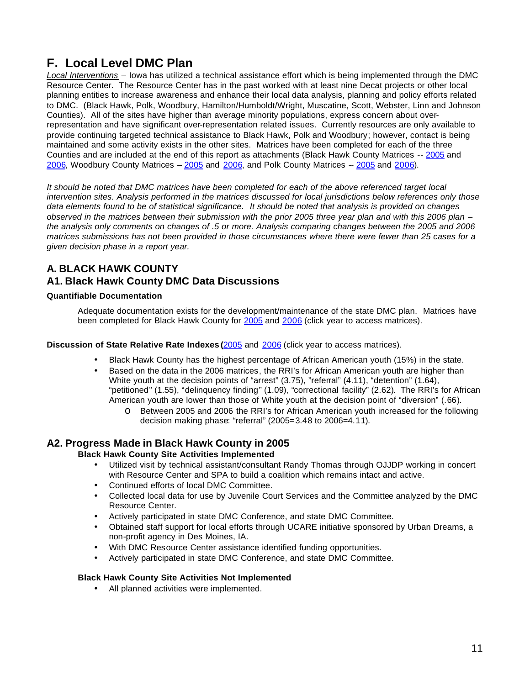## **F. Local Level DMC Plan**

*Local Interventions –* Iowa has utilized a technical assistance effort which is being implemented through the DMC Resource Center. The Resource Center has in the past worked with at least nine Decat projects or other local planning entities to increase awareness and enhance their local data analysis, planning and policy efforts related to DMC. (Black Hawk, Polk, Woodbury, Hamilton/Humboldt/Wright, Muscatine, Scott, Webster, Linn and Johnson Counties). All of the sites have higher than average minority populations, express concern about overrepresentation and have significant over-representation related issues. Currently resources are only available to provide continuing targeted technical assistance to Black Hawk, Polk and Woodbury; however, contact is being maintained and some activity exists in the other sites. Matrices have been completed for each of the three Counties and are included at the end of this report as attachments (Black Hawk County Matrices -- 2005 and 2006, Woodbury County Matrices – 2005 and 2006, and Polk County Matrices -- 2005 and 2006).

*It should be noted that DMC matrices have been completed for each of the above referenced target local intervention sites. Analysis performed in the matrices discussed for local jurisdictions below references only those data elements found to be of statistical significance. It should be noted that analysis is provided on changes observed in the matrices between their submission with the prior 2005 three year plan and with this 2006 plan – the analysis only comments on changes of .5 or more. Analysis comparing changes between the 2005 and 2006 matrices submissions has not been provided in those circumstances where there were fewer than 25 cases for a given decision phase in a report year.* 

## **A. BLACK HAWK COUNTY A1. Black Hawk County DMC Data Discussions**

#### **Quantifiable Documentation**

Adequate documentation exists for the development/maintenance of the state DMC plan. Matrices have been completed for Black Hawk County for 2005 and 2006 (click year to access matrices).

#### **Discussion of State Relative Rate Indexes (**2005 and 2006 (click year to access matrices).

- Black Hawk County has the highest percentage of African American youth (15%) in the state.
- Based on the data in the 2006 matrices, the RRI's for African American youth are higher than White youth at the decision points of "arrest" (3.75), "referral" (4.11), "detention" (1.64), "petitioned" (1.55), "delinquency finding" (1.09), "correctional facility" (2.62). The RRI's for African American youth are lower than those of White youth at the decision point of "diversion" (.66).
	- o Between 2005 and 2006 the RRI's for African American youth increased for the following decision making phase: "referral" (2005=3.48 to 2006=4.11).

#### **A2. Progress Made in Black Hawk County in 2005**

**Black Hawk County Site Activities Implemented**

- Utilized visit by technical assistant/consultant Randy Thomas through OJJDP working in concert with Resource Center and SPA to build a coalition which remains intact and active.
- Continued efforts of local DMC Committee.
- Collected local data for use by Juvenile Court Services and the Committee analyzed by the DMC Resource Center.
- Actively participated in state DMC Conference, and state DMC Committee.
- Obtained staff support for local efforts through UCARE initiative sponsored by Urban Dreams, a non-profit agency in Des Moines, IA.
- With DMC Resource Center assistance identified funding opportunities.
- Actively participated in state DMC Conference, and state DMC Committee.

#### **Black Hawk County Site Activities Not Implemented**

All planned activities were implemented.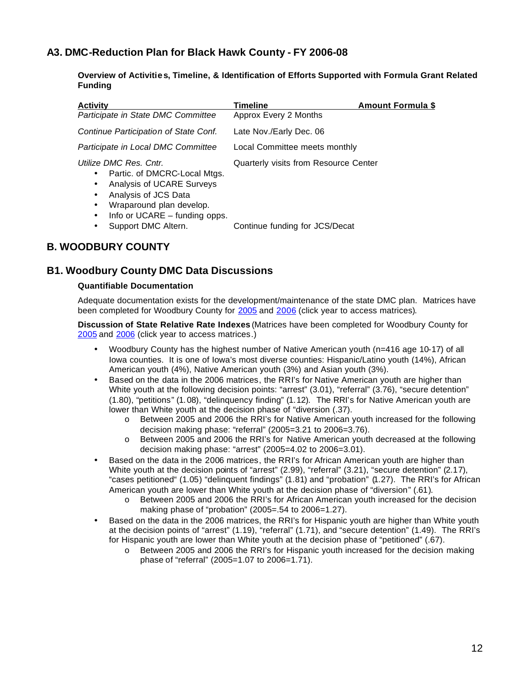## **A3. DMC-Reduction Plan for Black Hawk County - FY 2006-08**

**Overview of Activities, Timeline, & Identification of Efforts Supported with Formula Grant Related Funding**

| <b>Activity</b>                                                                                                                                                                                                                           | Timeline                              | <b>Amount Formula \$</b> |
|-------------------------------------------------------------------------------------------------------------------------------------------------------------------------------------------------------------------------------------------|---------------------------------------|--------------------------|
| Participate in State DMC Committee                                                                                                                                                                                                        | Approx Every 2 Months                 |                          |
| Continue Participation of State Conf.                                                                                                                                                                                                     | Late Nov./Early Dec. 06               |                          |
| Participate in Local DMC Committee                                                                                                                                                                                                        | Local Committee meets monthly         |                          |
| Utilize DMC Res. Cntr.<br>Partic. of DMCRC-Local Mtgs.<br>$\bullet$<br>Analysis of UCARE Surveys<br>$\bullet$<br>Analysis of JCS Data<br>$\bullet$<br>Wraparound plan develop.<br>$\bullet$<br>Info or UCARE - funding opps.<br>$\bullet$ | Quarterly visits from Resource Center |                          |
| Support DMC Altern.<br>$\bullet$                                                                                                                                                                                                          | Continue funding for JCS/Decat        |                          |

## **B. WOODBURY COUNTY**

### **B1. Woodbury County DMC Data Discussions**

#### **Quantifiable Documentation**

Adequate documentation exists for the development/maintenance of the state DMC plan. Matrices have been completed for Woodbury County for 2005 and 2006 (click year to access matrices).

**Discussion of State Relative Rate Indexes** (Matrices have been completed for Woodbury County for 2005 and 2006 (click year to access matrices.)

- Woodbury County has the highest number of Native American youth (n=416 age 10-17) of all Iowa counties. It is one of Iowa's most diverse counties: Hispanic/Latino youth (14%), African American youth (4%), Native American youth (3%) and Asian youth (3%).
- Based on the data in the 2006 matrices, the RRI's for Native American youth are higher than White youth at the following decision points: "arrest" (3.01), "referral" (3.76), "secure detention" (1.80), "petitions" (1.08), "delinquency finding" (1.12). The RRI's for Native American youth are lower than White youth at the decision phase of "diversion (.37).
	- o Between 2005 and 2006 the RRI's for Native American youth increased for the following decision making phase: "referral" (2005=3.21 to 2006=3.76).
	- o Between 2005 and 2006 the RRI's for Native American youth decreased at the following decision making phase: "arrest" (2005=4.02 to 2006=3.01).
- Based on the data in the 2006 matrices, the RRI's for African American youth are higher than White youth at the decision points of "arrest" (2.99), "referral" (3.21), "secure detention" (2.17), "cases petitioned" (1.05) "delinquent findings" (1.81) and "probation" (1.27). The RRI's for African American youth are lower than White youth at the decision phase of "diversion" (.61).
	- o Between 2005 and 2006 the RRI's for African American youth increased for the decision making phase of "probation" (2005=.54 to 2006=1.27).
- Based on the data in the 2006 matrices, the RRI's for Hispanic youth are higher than White youth at the decision points of "arrest" (1.19), "referral" (1.71), and "secure detention" (1.49). The RRI's for Hispanic youth are lower than White youth at the decision phase of "petitioned" (.67).
	- o Between 2005 and 2006 the RRI's for Hispanic youth increased for the decision making phase of "referral" (2005=1.07 to 2006=1.71).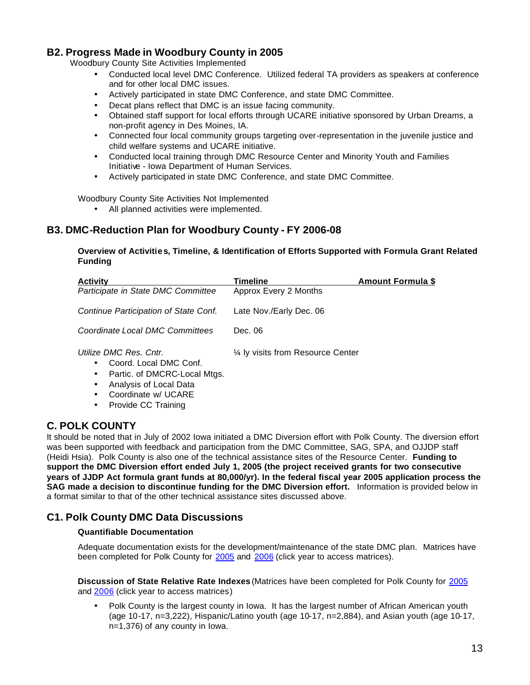## **B2. Progress Made in Woodbury County in 2005**

Woodbury County Site Activities Implemented

- Conducted local level DMC Conference. Utilized federal TA providers as speakers at conference and for other local DMC issues.
- Actively participated in state DMC Conference, and state DMC Committee.
- Decat plans reflect that DMC is an issue facing community.
- Obtained staff support for local efforts through UCARE initiative sponsored by Urban Dreams, a non-profit agency in Des Moines, IA.
- Connected four local community groups targeting over-representation in the juvenile justice and child welfare systems and UCARE initiative.
- Conducted local training through DMC Resource Center and Minority Youth and Families Initiative - Iowa Department of Human Services.
- Actively participated in state DMC Conference, and state DMC Committee.

Woodbury County Site Activities Not Implemented

• All planned activities were implemented.

### **B3. DMC-Reduction Plan for Woodbury County - FY 2006-08**

#### **Overview of Activities, Timeline, & Identification of Efforts Supported with Formula Grant Related Funding**

| Activity                              | Timeline                           | <b>Amount Formula \$</b> |
|---------------------------------------|------------------------------------|--------------------------|
| Participate in State DMC Committee    | Approx Every 2 Months              |                          |
| Continue Participation of State Conf. | Late Nov./Early Dec. 06            |                          |
| Coordinate Local DMC Committees       | Dec. 06                            |                          |
| Utilize DMC Res. Cntr.                | 1/4 ly visits from Resource Center |                          |

- Coord. Local DMC Conf.
- Partic. of DMCRC-Local Mtgs.
- Analysis of Local Data
- Coordinate w/ UCARE
- Provide CC Training

#### **C. POLK COUNTY**

It should be noted that in July of 2002 Iowa initiated a DMC Diversion effort with Polk County. The diversion effort was been supported with feedback and participation from the DMC Committee, SAG, SPA, and OJJDP staff (Heidi Hsia). Polk County is also one of the technical assistance sites of the Resource Center. **Funding to support the DMC Diversion effort ended July 1, 2005 (the project received grants for two consecutive years of JJDP Act formula grant funds at 80,000/yr). In the federal fiscal year 2005 application process the SAG made a decision to discontinue funding for the DMC Diversion effort.** Information is provided below in a format similar to that of the other technical assistance sites discussed above.

#### **C1. Polk County DMC Data Discussions**

#### **Quantifiable Documentation**

Adequate documentation exists for the development/maintenance of the state DMC plan. Matrices have been completed for Polk County for 2005 and 2006 (click year to access matrices).

**Discussion of State Relative Rate Indexes** (Matrices have been completed for Polk County for 2005 and 2006 (click year to access matrices)

• Polk County is the largest county in Iowa. It has the largest number of African American youth (age 10-17, n=3,222), Hispanic/Latino youth (age 10-17, n=2,884), and Asian youth (age 10-17, n=1,376) of any county in Iowa.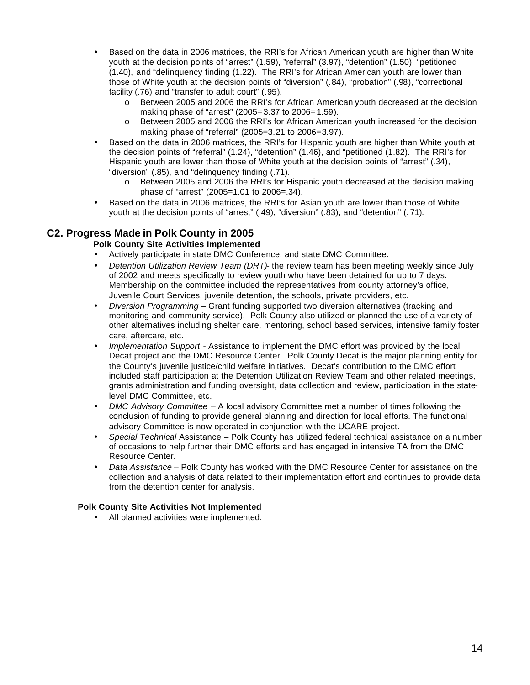- Based on the data in 2006 matrices, the RRI's for African American youth are higher than White youth at the decision points of "arrest" (1.59), "referral" (3.97), "detention" (1.50), "petitioned (1.40), and "delinquency finding (1.22). The RRI's for African American youth are lower than those of White youth at the decision points of "diversion" (.84), "probation" (.98), "correctional facility (.76) and "transfer to adult court" (.95).
	- o Between 2005 and 2006 the RRI's for African American youth decreased at the decision making phase of "arrest" (2005= 3.37 to 2006= 1.59).
	- o Between 2005 and 2006 the RRI's for African American youth increased for the decision making phase of "referral" (2005=3.21 to 2006=3.97).
- Based on the data in 2006 matrices, the RRI's for Hispanic youth are higher than White youth at the decision points of "referral" (1.24), "detention" (1.46), and "petitioned (1.82). The RRI's for Hispanic youth are lower than those of White youth at the decision points of "arrest" (.34), "diversion" (.85), and "delinquency finding (.71).
	- o Between 2005 and 2006 the RRI's for Hispanic youth decreased at the decision making phase of "arrest" (2005=1.01 to 2006=.34).
- Based on the data in 2006 matrices, the RRI's for Asian youth are lower than those of White youth at the decision points of "arrest" (.49), "diversion" (.83), and "detention" (. 71).

### **C2. Progress Made in Polk County in 2005**

### **Polk County Site Activities Implemented**

- Actively participate in state DMC Conference, and state DMC Committee.
- *Detention Utilization Review Team (DRT)* the review team has been meeting weekly since July of 2002 and meets specifically to review youth who have been detained for up to 7 days. Membership on the committee included the representatives from county attorney's office, Juvenile Court Services, juvenile detention, the schools, private providers, etc.
- *Diversion Programming* Grant funding supported two diversion alternatives (tracking and monitoring and community service). Polk County also utilized or planned the use of a variety of other alternatives including shelter care, mentoring, school based services, intensive family foster care, aftercare, etc.
- *Implementation Support* Assistance to implement the DMC effort was provided by the local Decat project and the DMC Resource Center. Polk County Decat is the major planning entity for the County's juvenile justice/child welfare initiatives. Decat's contribution to the DMC effort included staff participation at the Detention Utilization Review Team and other related meetings, grants administration and funding oversight, data collection and review, participation in the statelevel DMC Committee, etc.
- *DMC Advisory Committee* A local advisory Committee met a number of times following the conclusion of funding to provide general planning and direction for local efforts. The functional advisory Committee is now operated in conjunction with the UCARE project.
- *Special Technical* Assistance Polk County has utilized federal technical assistance on a number of occasions to help further their DMC efforts and has engaged in intensive TA from the DMC Resource Center.
- *Data Assistance* Polk County has worked with the DMC Resource Center for assistance on the collection and analysis of data related to their implementation effort and continues to provide data from the detention center for analysis.

#### **Polk County Site Activities Not Implemented**

All planned activities were implemented.